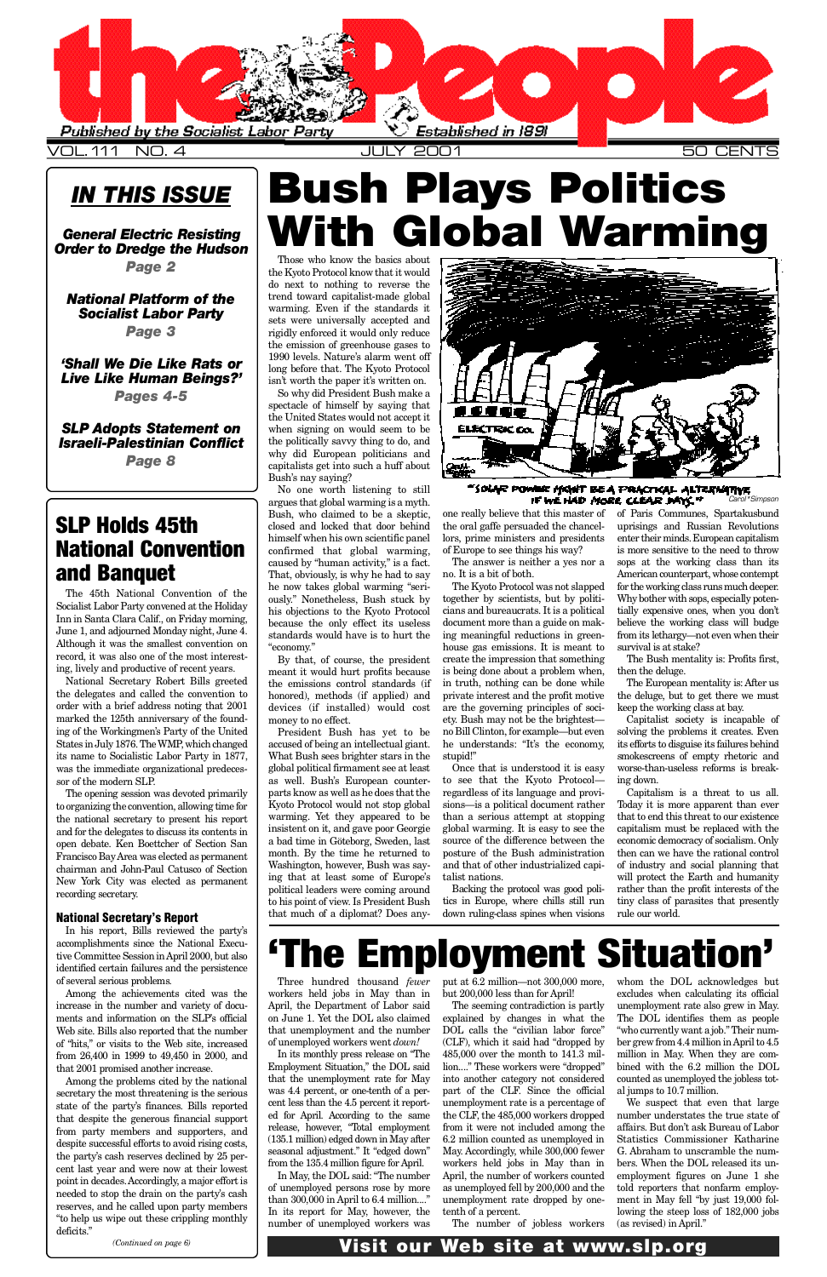*IN THIS ISSUE*

*General Electric Resisting [O rder to Dredge the Hudson](#page-1-0)*

*Page 2*

**'Shall We Die Like Rats or** *[Live Like Human Beings?'](#page-3-0) Pages 4-5*

*[National Platform of the](#page-2-0)* **Socialist Labor Party** *Page 3*

**SLP Adopts Statement on** *[Israeli-Palestinian Conflict](#page-7-0)*

Those who know the basics about the Kyoto Protocol know that it would do next to nothing to reverse the trend toward capitalist-made global warming. Even if the standards it sets were universally accepted and rigidly enforced it would only reduce the emission of greenhouse gases to 1990 levels. Nature's alarm went off long before that. The Kyoto Protocol isn't worth the paper it's written on. So why did President Bush make a spectacle of himself by saying that the United States would not accept it when signing on would seem to be the politically savvy thing to do, and why did European politicians and capitalists get into such a huff about Bush's nay saying?

*Page 8*

No one worth listening to still argues that global warming is a myth. Bush, who claimed to be a skeptic, closed and locked that door behind himself when his own scientific panel confirmed that global warming, caused by "human activity," is a fact. That, obviously, is why he had to say he now takes global warming "seriously." Nonetheless, Bush stuck by his objections to the Kyoto Protocol because the only effect its useless standards would have is to hurt the " economy."

The Kyoto Protocol was not slapped together by scientists, but by politicians and bureaucrats. It is a political document more than a guide on making meaningful reductions in greenhouse gas emissions. It is meant to create the impression that something is being done about a problem when, in truth, nothing can be done while private interest and the profit motive are the governing principles of society. Bush may not be the brightest no Bill Clinton, for example—but even he understands: "It's the economy, stupid!"

By that, of course, the president meant it would hurt profits because the emissions control standards (if honored), methods (if applied) and devices (if installed) would cost money to no effect.

President Bush has yet to be accused of being an intellectual giant. What Bush sees brighter stars in the global political firmament see at least as well. Bush's European counterparts know as well as he does that the Kyoto Protocol would not stop global warming. Yet they appeared to be insistent on it, and gave poor Georgie a bad time in Göteborg, Sweden, last month. By the time he returned to Washington, however, Bush was saying that at least some of Europe's political leaders were coming around to his point of view. Is President Bush that much of a diplomat? Does any-



one really believe that this master of the oral gaffe persuaded the chancellors, prime ministers and presidents of Europe to see things his way?

The answer is neither a yes nor a no. It is a bit of both.

Once that is understood it is easy to see that the Kyoto Protocol regardless of its language and provisions—is a political document rather than a serious attempt at stopping global warming. It is easy to see the source of the difference between the posture of the Bush administration and that of other industrialized capitalist nations.

Backing the protocol was good politics in Europe, where chills still run down ruling-class spines when visions

# Bush Plays Politics **With Global Warming**

### **SLP Holds 45th** National Convention and Banquet

of Paris Communes, Spartakusbund uprisings and Russian Revolutions enter their minds. European capitalism is more sensitive to the need to throw sops at the working class than its American counterpart, whose contempt for the working class runs much deeper. Why bother with sops, especially potentially expensive ones, when you don't believe the working class will budge from its lethargy—not even when their survival is at stake?

put at 6.2 million—not 300,000 more, but 200,000 less than for April!

The Bush mentality is: Profits first, then the deluge.

The European mentality is: After us the deluge, but to get there we must keep the working class at bay.

Capitalist society is incapable of solving the problems it creates. Even its efforts to disguise its failures behind smokescreens of empty rhetoric and worse-than-useless reforms is breaking down.

We suspect that even that large number understates the true state of affairs. But don't ask Bureau of Labor Statistics Commissioner Katharine G. Abraham to unscramble the numbers. When the DOL released its unemployment figures on June 1 she told reporters that nonfarm employment in May fell "by just 19,000 following the steep loss of 182,000 jobs  $(as$  revised) in April."

### Visit our Web site at www.slp.org

Capitalism is a threat to us all. Today it is more apparent than ever that to end this threat to our existence capitalism must be replaced with the economic democracy of socialism. Only then can we have the rational control of industry and social planning that will protect the Earth and humanity rather than the profit interests of the tiny class of parasites that presently rule our world.

"SOLAR POWING MAHAT BE A PRACTICAL ALTERNATIVE IF WE HAD MORE CLEAR MAYS." *Carol\*Simpson*

<span id="page-0-0"></span>

The 45th National Convention of the Socialist Labor Party convened at the Holiday Inn in Santa Clara Calif., on Friday morning, June 1, and adjourned Monday night, June 4. Although it was the smallest convention on record, it was also one of the most interesting, lively and productive of recent years.

National Secretary Robert Bills greeted the delegates and called the convention to order with a brief address noting that 2001 marked the 125th anniversary of the founding of the Workingmen's Party of the United States in July 1876. The WMP, which changed its name to Socialistic Labor Party in 1877, was the immediate organizational predecessor of the modern SLP.

The opening session was devoted primarily to organizing the convention, allowing time for the national secretary to present his report and for the delegates to discuss its contents in open debate. Ken Boettcher of Section San Francisco Bay Area was elected as permanent chairman and John-Paul Catusco of Section New York City was elected as permanent recording secretary.

### National Secretary's Report

In his report, Bills reviewed the party's

accomplishments since the National Executive Committee Session in April 2000, but also identified certain failures and the persistence of several serious problems.

Among the achievements cited was the increase in the number and variety of documents and information on the SLP's official Web site. Bills also reported that the number of "hits," or visits to the Web site, increased from 26,400 in 1999 to 49,450 in 2000, and that 2001 promised another increase.

Among the problems cited by the national secretary the most threatening is the serious state of the party's finances. Bills reported that despite the generous financial support from party members and supporters, and despite successful efforts to avoid rising costs, the party's cash reserves declined by 25 percent last year and were now at their lowest point in decades. Accordingly, a major effort is needed to stop the drain on the party's cash reserves, and he called upon party members "to help us wipe out these crippling monthly deficits."

*(Continued on page 6)*

# he Employment Situat

Three hundred thousand *fewer* workers held jobs in May than in April, the Department of Labor said on June 1. Yet the DOL also claimed that unemployment and the number of unemployed workers went *down!* 

In its monthly press release on "The Employment Situation," the DOL said that the unemployment rate for May was 4.4 percent, or one-tenth of a percent less than the 4.5 percent it reported for April. According to the same release, however, "Total employment (135.1 million) edged down in May after seasonal adjustment." It "edged down" from the 135.4 million figure for April. In May, the DOL said: "The number of unemployed persons rose by more than 300,000 in April to 6.4 million...." In its report for May, however, the number of unemployed workers was

The seeming contradiction is partly explained by changes in what the DOL calls the "civilian labor force" (CLF), which it said had "dropped by 485,000 over the month to 141.3 million...." These workers were "dropped" into another category not considered part of the CLF. Since the official unemployment rate is a percentage of the CLF, the 485,000 workers dropped from it were not included among the 6.2 million counted as unemployed in May. Accordingly, while 300,000 fewer workers held jobs in May than in April, the number of workers counted as unemployed fell by 200,000 and the unemployment rate dropped by onetenth of a percent.

The number of jobless workers

whom the DOL acknowledges but excludes when calculating its official unemployment rate also grew in May. The DOL identifies them as people "who currently want a job." Their number grew from 4.4 million in April to 4.5 million in May. When they are combined with the 6.2 million the DOL counted as unemployed the jobless total jumps to 10.7 million.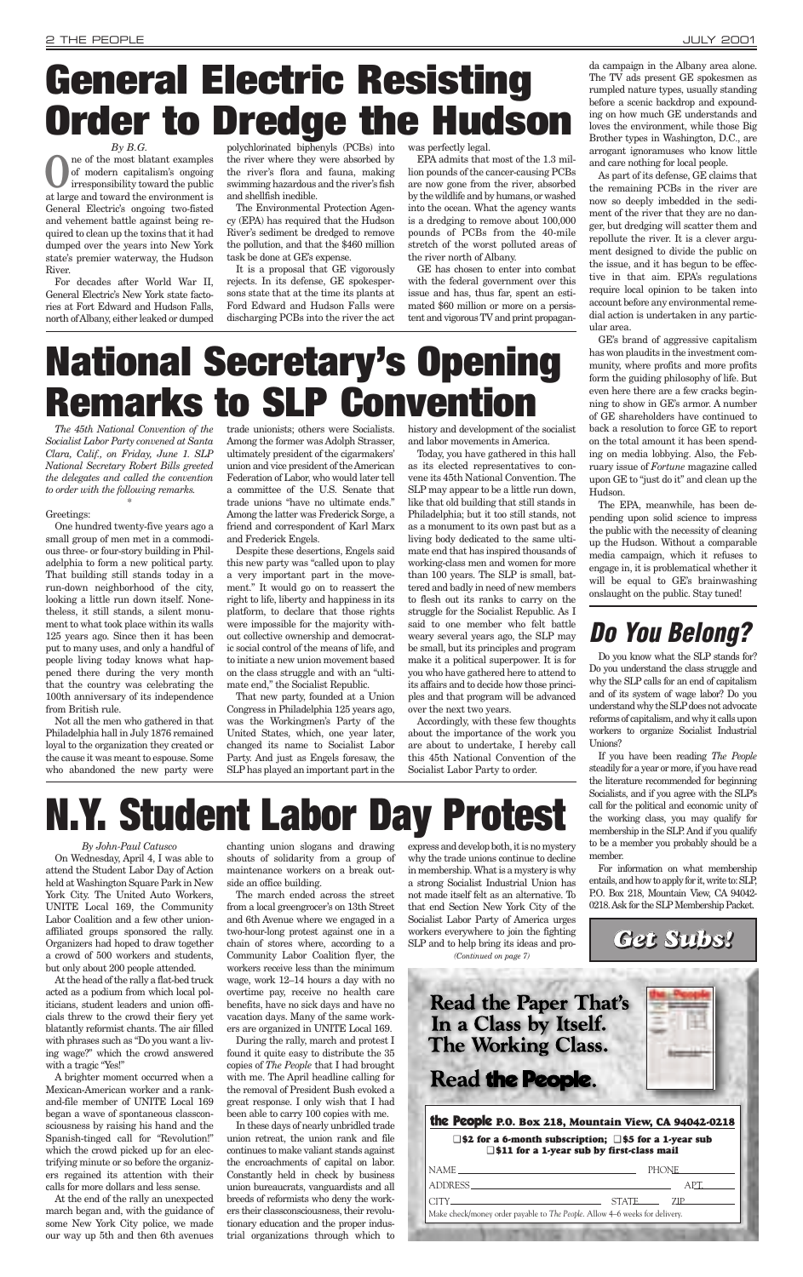*By John-Paul Catusco* On Wednesday, April 4, I was able to attend the Student Labor Day of Action held at Washington Square Park in New York City. The United Auto Workers, UNITE Local 169, the Community

Labor Coalition and a few other unionaffiliated groups sponsored the rally. Organizers had hoped to draw together a crowd of 500 workers and students, but only about 200 people attended.

At the head of the rally a flat-bed truck acted as a podium from which local politicians, student leaders and union officials threw to the crowd their fiery yet blatantly reformist chants. The air filled with phrases such as "Do you want a living wage?" which the crowd answered with a tragic "Yes!"

A brighter moment occurred when a Mexican-American worker and a rankand-file member of UNITE Local 169 began a wave of spontaneous classconsciousness by raising his hand and the Spanish-tinged call for "Revolution!" which the crowd picked up for an electrifying minute or so before the organizers regained its attention with their calls for more dollars and less sense.

At the end of the rally an unexpected march began and, with the guidance of some New York City police, we made our way up 5th and then 6th avenues

chanting union slogans and drawing shouts of solidarity from a group of maintenance workers on a break outside an office building.

The march ended across the street from a local greengrocer's on 13th Street

**O**ne of the most blatant examples<br>of modern capitalism's ongoing<br>irresponsibility toward the public of modern capitalism's ongoing irresponsibility toward the public at large and toward the environment is General Electric's ongoing two-fisted and vehement battle against being required to clean up the toxins that it had dumped over the years into New York state's premier waterway, the Hudson River.

> and 6th Avenue where we engaged in a two-hour-long protest against one in a chain of stores where, according to a Community Labor Coalition flyer, the workers receive less than the minimum wage, work 12–14 hours a day with no overtime pay, receive no health care benefits, have no sick days and have no vacation days. Many of the same workers are organized in UNITE Local 169. During the rally, march and protest I found it quite easy to distribute the 35 copies of *The People* that I had brought

> with me. The April headline calling for the removal of President Bush evoked a

> great response. I only wish that I had been able to carry 100 copies with me. In these days of nearly unbridled trade union retreat, the union rank and file continues to make valiant stands against the encroachments of capital on labor. Constantly held in check by business union bureaucrats, vanguardists and all breeds of reformists who deny the workers their classconsciousness, their revolutionary education and the proper industrial organizations through which to

express and develop both, it is no mystery why the trade unions continue to decline in membership. What is a mystery is why a strong Socialist Industrial Union has not made itself felt as an alternative. To that end Section New York City of the

# **N.Y. Student Labor Day Protest**

For decades after World War II, General Electric's New York state factories at Fort Edward and Hudson Falls, north of Albany, either leaked or dumped polychlorinated biphenyls (PCBs) into the river where they were absorbed by the river's flora and fauna, making swimming hazardous and the river's fish and shellfish inedible.

The Environmental Protection Agency (EPA) has required that the Hudson River's sediment be dredged to remove the pollution, and that the \$460 million task be done at GE's expense.

It is a proposal that GE vigorously rejects. In its defense, GE spokespersons state that at the time its plants at Ford Edward and Hudson Falls were discharging PCBs into the river the act was perfectly legal.

EPA admits that most of the 1.3 million pounds of the cancer-causing PCBs are now gone from the river, absorbed by the wildlife and by humans, or washed into the ocean. What the agency wants is a dredging to remove about 100,000 pounds of PCBs from the 40-mile stretch of the worst polluted areas of the river north of Albany.

GE has chosen to enter into combat with the federal government over this issue and has, thus far, spent an estimated \$60 million or more on a persistent and vigorous TV and print propaganda campaign in the Albany area alone. The TV ads present GE spokesmen as rumpled nature types, usually standing before a scenic backdrop and expounding on how much GE understands and loves the environment, while those Big Brother types in Washington, D.C., are arrogant ignoramuses who know little and care nothing for local people.

As part of its defense, GE claims that the remaining PCBs in the river are now so deeply imbedded in the sediment of the river that they are no danger, but dredging will scatter them and repollute the river. It is a clever argument designed to divide the public on the issue, and it has begun to be effective in that aim. EPA's regulations require local opinion to be taken into account before any environmental remedial action is undertaken in any particular area.

GE's brand of aggressive capitalism has won plaudits in the investment community, where profits and more profits form the guiding philosophy of life. But even here there are a few cracks beginning to show in GE's armor. A number of GE shareholders have continued to back a resolution to force GE to report on the total amount it has been spending on media lobbying. Also, the February issue of *Fortune* magazine called upon GE to "just do it" and clean up the Hudson.

The EPA, meanwhile, has been depending upon solid science to impress the public with the necessity of cleaning up the Hudson. Without a comparable media campaign, which it refuses to engage in, it is problematical whether it will be equal to GE's brainwashing onslaught on the public. Stay tuned!

## <span id="page-1-0"></span>*By B.G.* **General Electric Resisting Order to Dredge the Hudson**

*The 45th National Convention of the Socialist Labor Party convened at Santa Clara, Calif., on Friday, June 1. SLP National Secretary Robert Bills greeted the delegates and called the convention to order with the following remarks.*

\*

#### Greetings:

One hundred twenty-five years ago a small group of men met in a commodious three- or four-story building in Philadelphia to form a new political party. That building still stands today in a run-down neighborhood of the city, looking a little run down itself. Nonetheless, it still stands, a silent monument to what took place within its walls 125 years ago. Since then it has been put to many uses, and only a handful of people living today knows what happened there during the very month that the country was celebrating the 100th anniversary of its independence from British rule.

> Socialist Labor Party of America urges workers everywhere to join the fighting SLP and to help bring its ideas and pro-*(Continued on page 7)*

Not all the men who gathered in that Philadelphia hall in July 1876 remained loyal to the organization they created or the cause it was meant to espouse. Some who abandoned the new party were

trade unionists; others were Socialists. Among the former was Adolph Strasser, ultimately president of the cigarmakers' union and vice president of the American Federation of Labor, who would later tell a committee of the U.S. Senate that trade unions "have no ultimate ends." Among the latter was Frederick Sorge, a friend and correspondent of Karl Marx and Frederick Engels.

Despite these desertions, Engels said this new party was "called upon to play a very important part in the movement." It would go on to reassert the right to life, liberty and happiness in its platform, to declare that those rights were impossible for the majority without collective ownership and democratic social control of the means of life, and to initiate a new union movement based on the class struggle and with an "ultimate end," the Socialist Republic.

That new party, founded at a Union Congress in Philadelphia 125 years ago, was the Workingmen's Party of the United States, which, one year later, changed its name to Socialist Labor Party. And just as Engels foresaw, the SLP has played an important part in the history and development of the socialist and labor movements in America.

Today, you have gathered in this hall as its elected representatives to convene its 45th National Convention. The SLP may appear to be a little run down, like that old building that still stands in Philadelphia; but it too still stands, not as a monument to its own past but as a living body dedicated to the same ultimate end that has inspired thousands of working-class men and women for more than 100 years. The SLP is small, battered and badly in need of new members to flesh out its ranks to carry on the struggle for the Socialist Republic. As I said to one member who felt battle weary several years ago, the SLP may be small, but its principles and program make it a political superpower. It is for you who have gathered here to attend to its affairs and to decide how those principles and that program will be advanced over the next two years.

Accordingly, with these few thoughts about the importance of the work you are about to undertake, I hereby call this 45th National Convention of the Socialist Labor Party to order.

## **Do You Belong?**

Do you know what the SLP stands for? Do you understand the class struggle and why the SLP calls for an end of capitalism and of its system of wage labor? Do you understand why the SLP does not advocate reforms of capitalism, and why it calls upon workers to organize Socialist Industrial Unions?

If you have been reading *The People* steadily for a year or more, if you have read the literature recommended for beginning Socialists, and if you agree with the SLP's call for the political and economic unity of the working class, you may qualify for membership in the SLP. And if you qualify to be a member you probably should be a member.

For information on what membership entails, and how to apply for it, write to: SLP, P.O. Box 218, Mountain View, CA 94042- 0218. Ask for the SLP Membership Packet.

### the People **P.O. Box 218, Mountain View, CA 94042-0218**

❑ **\$2 for a 6-month subscription;** ❑ **\$5 for a 1-year sub** ❑ **\$11 for a 1-year sub by first-class mail**

| NAME NAME                                                                                                                                                                                                                                                                                                                                                                                                                                                                                                                                                                                                   | PHONE THE THEFT |
|-------------------------------------------------------------------------------------------------------------------------------------------------------------------------------------------------------------------------------------------------------------------------------------------------------------------------------------------------------------------------------------------------------------------------------------------------------------------------------------------------------------------------------------------------------------------------------------------------------------|-----------------|
| ADDRESS ADDRESS                                                                                                                                                                                                                                                                                                                                                                                                                                                                                                                                                                                             |                 |
| $\text{CITY}\underline{\hspace{2cm}}\underline{\hspace{2cm}}\underline{\hspace{2cm}}\underline{\hspace{2cm}}\underline{\hspace{2cm}}\underline{\hspace{2cm}}\underline{\hspace{2cm}}\underline{\hspace{2cm}}\underline{\hspace{2cm}}\underline{\hspace{2cm}}\underline{\hspace{2cm}}\underline{\hspace{2cm}}\underline{\hspace{2cm}}\underline{\hspace{2cm}}\underline{\hspace{2cm}}\underline{\hspace{2cm}}\underline{\hspace{2cm}}\underline{\hspace{2cm}}\underline{\hspace{2cm}}\underline{\hspace{2cm}}\underline{\hspace{2cm}}\underline{\hspace{2cm}}\underline{\hspace{2cm}}\underline{\hspace{2cm$ | STATE 7IP       |
| Make check/money order payable to The People. Allow 4–6 weeks for delivery.                                                                                                                                                                                                                                                                                                                                                                                                                                                                                                                                 |                 |
|                                                                                                                                                                                                                                                                                                                                                                                                                                                                                                                                                                                                             |                 |



**Read the Paper That's** In a Class by Itself. **The Working Class.** 

## Read the People.

# **National Secretary's Opening Remarks to SLP Convention**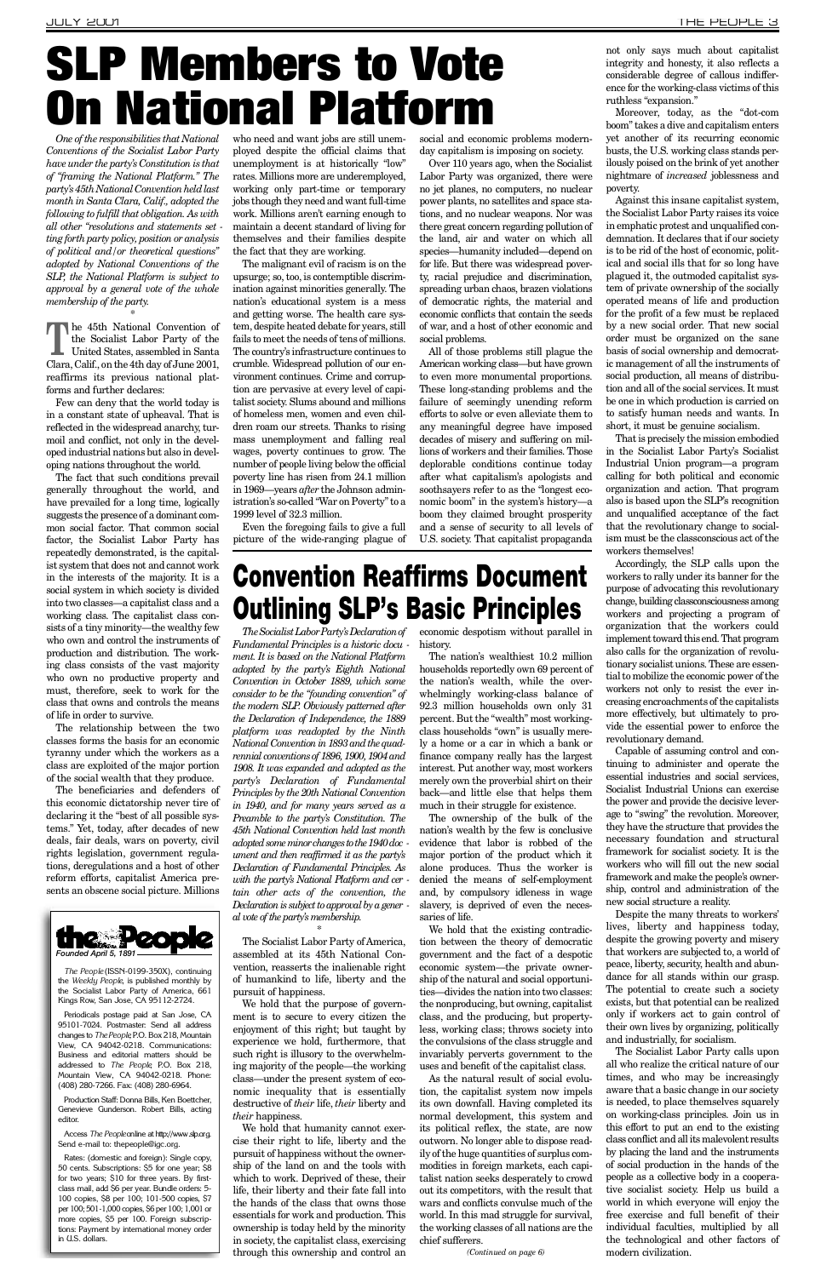*One of the responsibilities that National Conventions of the Socialist Labor Party have under the party's Constitution is that of "framing the National Platform." The p a r t y 's 45th National Convention held last month in Santa Clara, Calif., adopted the following to fulfill that obligation. As with all other "resolutions and statements set ting forth party policy, position or analysis of political and/or theoretical questions" adopted by National Conventions of the S L P, the National Platform is subject to approval by a general vote of the whole membership of the party.*

\* The Socialist Labor Party of the United States, assembled in Santa Clara, Calif., on the 4th day of June 2001, he 45th National Convention of the Socialist Labor Party of the United States, assembled in Santa reaffirms its previous national platforms and further declares:

Few can deny that the world today is in a constant state of upheaval. That is reflected in the widespread anarchy, turmoil and conflict, not only in the developed industrial nations but also in developing nations throughout the world.

who need and want jobs are still unemployed despite the official claims that unemployment is at historically "low" rates. Millions more are underemployed, working only part-time or temporary jobs though they need and want full-time work. Millions aren't earning enough to maintain a decent standard of living for themselves and their families despite the fact that they are working.

The fact that such conditions prevail generally throughout the world, and have prevailed for a long time, logically suggests the presence of a dominant common social factor. That common social factor, the Socialist Labor Party has repeatedly demonstrated, is the capitalist system that does not and cannot work in the interests of the majority. It is a social system in which society is divided into two classes—a capitalist class and a working class. The capitalist class consists of a tiny minority—the wealthy few who own and control the instruments of production and distribution. The working class consists of the vast majority who own no productive property and must, therefore, seek to work for the class that owns and controls the means of life in order to survive.

The relationship between the two classes forms the basis for an economic tyranny under which the workers as a class are exploited of the major portion of the social wealth that they produce.

The beneficiaries and defenders of this economic dictatorship never tire of declaring it the "best of all possible systems." Yet, today, after decades of new deals, fair deals, wars on poverty, civil rights legislation, government regulations, deregulations and a host of other reform efforts, capitalist America presents an obscene social picture. Millions

The malignant evil of racism is on the upsurge; so, too, is contemptible discrimination against minorities generally. The nation's educational system is a mess and getting worse. The health care system, despite heated debate for years, still fails to meet the needs of tens of millions. The country's infrastructure continues to crumble. Widespread pollution of our environment continues. Crime and corruption are pervasive at every level of capitalist society. Slums abound and millions of homeless men, women and even children roam our streets. Thanks to rising mass unemployment and falling real wages, poverty continues to grow. The number of people living below the official poverty line has risen from 24.1 million in 1969—years *after* the Johnson administration's so-called "War on Poverty" to a 1999 level of 32.3 million.

> Accordingly, the SLP calls upon the workers to rally under its banner for the purpose of advocating this revolutionary change, building classconsciousness among workers and projecting a program of organization that the workers could implement toward this end. That program also calls for the organization of revolutionary socialist unions. These are essential to mobilize the economic power of the workers not only to resist the ever increasing encroachments of the capitalists more effectively, but ultimately to provide the essential power to enforce the revolutionary demand.

Even the foregoing fails to give a full picture of the wide-ranging plague of social and economic problems modernday capitalism is imposing on society.

Over 110 years ago, when the Socialist Labor Party was organized, there were no jet planes, no computers, no nuclear power plants, no satellites and space stations, and no nuclear weapons. Nor was there great concern regarding pollution of the land, air and water on which all species—humanity included—depend on for life. But there was widespread poverty, racial prejudice and discrimination, spreading urban chaos, brazen violations of democratic rights, the material and economic conflicts that contain the seeds of war, and a host of other economic and social problems.

All of those problems still plague the American working class—but have grown to even more monumental proportions. These long-standing problems and the failure of seemingly unending reform efforts to solve or even alleviate them to any meaningful degree have imposed decades of misery and suffering on millions of workers and their families. Those deplorable conditions continue today after what capitalism's apologists and soothsayers refer to as the "longest economic boom" in the system's history—a boom they claimed brought prosperity and a sense of security to all levels of U.S. society. That capitalist propaganda

The Socialist Labor Party of America, assembled at its 45th National Convention, reasserts the inalienable right of humankind to life, liberty and the pursuit of happiness.

We hold that the purpose of government is to secure to every citizen the enjoyment of this right; but taught by experience we hold, furthermore, that such right is illusory to the overwhelming majority of the people—the working class—under the present system of economic inequality that is essentially destructive of *their* life, *their* liberty and *their* happiness.

not only says much about capitalist integrity and honesty, it also reflects a considerable degree of callous indifference for the working-class victims of this ruthless "expansion."

Moreover, today, as the "dot-com boom" takes a dive and capitalism enters yet another of its recurring economic busts, the U.S. working class stands perilously poised on the brink of yet another nightmare of *increased* joblessness and poverty.

economic despotism without parallel in history.

Against this insane capitalist system, the Socialist Labor Party raises its voice in emphatic protest and unqualified condemnation. It declares that if our society is to be rid of the host of economic, political and social ills that for so long have plagued it, the outmoded capitalist system of private ownership of the socially operated means of life and production for the profit of a few must be replaced by a new social order. That new social order must be organized on the sane basis of social ownership and democratic management of all the instruments of social production, all means of distribution and all of the social services. It must be one in which production is carried on to satisfy human needs and wants. In short, it must be genuine socialism.

That is precisely the mission embodied in the Socialist Labor Party's Socialist Industrial Union program—a program calling for both political and economic organization and action. That program also is based upon the SLP's recognition and unqualified acceptance of the fact that the revolutionary change to socialism must be the classconscious act of the workers themselves!

Capable of assuming control and continuing to administer and operate the essential industries and social services, Socialist Industrial Unions can exercise the power and provide the decisive leverage to "swing" the revolution. Moreover, they have the structure that provides the necessary foundation and structural framework for socialist society. It is the workers who will fill out the new social framework and make the people's ownership, control and administration of the new social structure a reality.

Despite the many threats to workers' lives, liberty and happiness today, despite the growing poverty and misery that workers are subjected to, a world of peace, liberty, security, health and abundance for all stands within our grasp. The potential to create such a society exists, but that potential can be realized only if workers act to gain control of their own lives by organizing, politically and industrially, for socialism. The Socialist Labor Party calls upon all who realize the critical nature of our times, and who may be increasingly aware that a basic change in our society is needed, to place themselves squarely on working-class principles. Join us in this effort to put an end to the existing class conflict and all its malevolent results by placing the land and the instruments of social production in the hands of the people as a collective body in a cooperative socialist society. Help us build a world in which everyone will enjoy the free exercise and full benefit of their individual faculties, multiplied by all the technological and other factors of modern civilization.

## Convention Reaffirms Document Outlining SLP's Basic Principles

*The Socialist Labor Party's Declaration of Fundamental Principles is a historic docu ment. It is based on the National Platform adopted by the party's Eighth National Convention in October 1889, which some consider to be the "founding convention" of the modern SLP. Obviously patterned after the Declaration of Independence, the 1889 platform was readopted by the Ninth National Convention in 1893 and the quadrennial conventions of 1896, 1900, 1904 and 1908. It was expanded and adopted as the* party's Declaration of Fundamental *Principles by the 20th National Convention in 1940, and for many years served as a Preamble to the party's Constitution. The 45th National Convention held last month adopted some minor changes to the 1940 doc ument and then reaffirmed it as the party's Declaration of Fundamental Principles. As with the party's National Platform and cer tain other acts of the convention, the Declaration is subject to approval by a gener al vote of the party's membership.*

\*

We hold that humanity cannot exercise their right to life, liberty and the pursuit of happiness without the ownership of the land on and the tools with which to work. Deprived of these, their life, their liberty and their fate fall into the hands of the class that owns those essentials for work and production. This ownership is today held by the minority in society, the capitalist class, exercising through this ownership and control an

The nation's wealthiest 10.2 million households reportedly own 69 percent of the nation's wealth, while the overwhelmingly working-class balance of 92.3 million households own only 31 percent. But the "wealth" most workingclass households "own" is usually merely a home or a car in which a bank or finance company really has the largest interest. Put another way, most workers merely own the proverbial shirt on their back—and little else that helps them much in their struggle for existence.

The ownership of the bulk of the nation's wealth by the few is conclusive evidence that labor is robbed of the major portion of the product which it alone produces. Thus the worker is denied the means of self-employment and, by compulsory idleness in wage slavery, is deprived of even the necessaries of life.

We hold that the existing contradic-

tion between the theory of democratic government and the fact of a despotic economic system—the private ownership of the natural and social opportunities—divides the nation into two classes: the nonproducing, but owning, capitalist class, and the producing, but propertyless, working class; throws society into the convulsions of the class struggle and invariably perverts government to the uses and benefit of the capitalist class.

As the natural result of social evolution, the capitalist system now impels its own downfall. Having completed its normal development, this system and its political reflex, the state, are now outworn. No longer able to dispose readily of the huge quantities of surplus commodities in foreign markets, each capitalist nation seeks desperately to crowd out its competitors, with the result that wars and conflicts convulse much of the world. In this mad struggle for survival, the working classes of all nations are the chief sufferers.

# <span id="page-2-0"></span>SLP Members to Vote On National Platform



*The People* (ISSN-0199-350X), continuing the *Weekly People*, is published monthly by the Socialist Labor Party of America, 661 Kings Row, San Jose, CA 95112-2724.

Periodicals postage paid at San Jose, CA 95101-7024. Postmaster: Send all address changes to *The People*, P.O. Box 218, Mountain View, CA 94042-0218. Communications: Business and editorial matters should be addressed to *The People*, P.O. Box 218, Mountain View, CA 94042-0218. Phone: (408) 280-7266. Fax: (408) 280-6964.

Production Staff: Donna Bills, Ken Boettcher, Genevieve Gunderson. Robert Bills, acting editor

Access The People online at http://www.slp.org. Send e-mail to: thepeople@igc.org.

Rates: (domestic and foreign): Single copy, 50 cents. Subscriptions: \$5 for one year; \$8 for two years; \$10 for three years. By firstclass mail, add \$6 per year. Bundle orders: 5- 100 copies, \$8 per 100; 101-500 copies, \$7 per 100; 501-1,000 copies, \$6 per 100; 1,001 or more copies, \$5 per 100. Foreign subscriptions: Payment by international money order in U.S. dollars.

*(Continued on page 6)*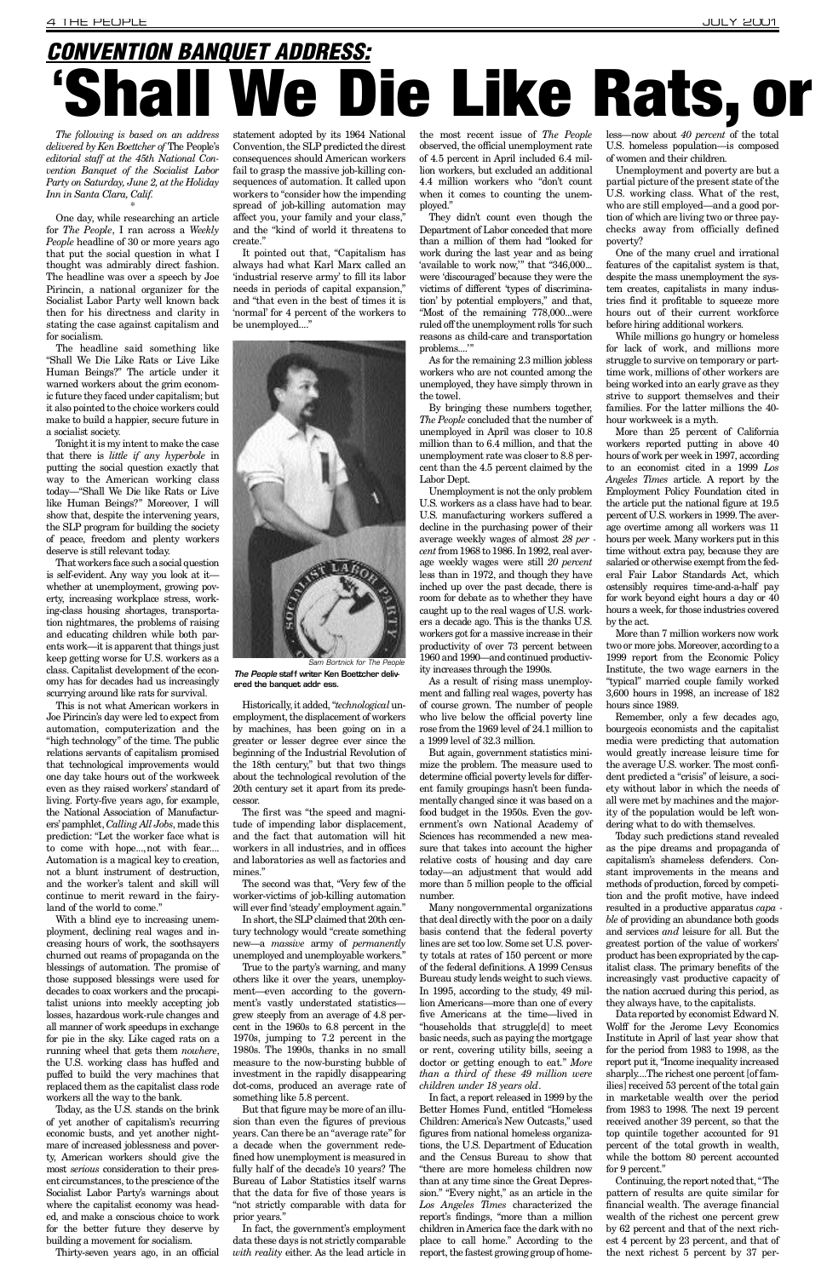*The following is based on an address delivered by Ken Boettcher of* The People's *editorial staff at the 45th National Convention Banquet of the Socialist Labor Party on Saturday, June 2, at the Holiday Inn in Santa Clara, Calif.*

\*

One day, while researching an article for *The People*, I ran across a Weekly *People* headline of 30 or more years ago that put the social question in what I thought was admirably direct fashion. The headline was over a speech by Joe Pirincin, a national organizer for the Socialist Labor Party well known back then for his directness and clarity in stating the case against capitalism and for socialism.

The headline said something like "Shall We Die Like Rats or Live Like Human Beings?" The article under it warned workers about the grim economic future they faced under capitalism; but it also pointed to the choice workers could make to build a happier, secure future in a socialist society.

This is not what American workers in Joe Pirincin's day were led to expect from automation, computerization and the "high technology" of the time. The public relations servants of capitalism promised that technological improvements would one day take hours out of the workweek even as they raised workers' standard of living. Forty-five years ago, for example, the National Association of Manufacturers' pamphlet, *Calling All Jobs*, made this prediction: "Let the worker face what is to come with hope...,not with fear.... Automation is a magical key to creation, not a blunt instrument of destruction, and the worker's talent and skill will continue to merit reward in the fairyland of the world to come."

Tonight it is my intent to make the case that there is *little if any hyperbole* in putting the social question exactly that way to the American working class today—"Shall We Die like Rats or Live like Human Beings?" Moreover, I will show that, despite the intervening years, the SLP program for building the society of peace, freedom and plenty workers deserve is still relevant today.

That workers face such a social question is self-evident. Any way you look at it whether at unemployment, growing poverty, increasing workplace stress, working-class housing shortages, transportation nightmares, the problems of raising and educating children while both parents work—it is apparent that things just keep getting worse for U.S. workers as a class. Capitalist development of the economy has for decades had us increasingly scurrying around like rats for survival.

It pointed out that, "Capitalism has always had what Karl Marx called an 'industrial reserve army' to fill its labor needs in periods of capital expansion," and "that even in the best of times it is 'normal' for 4 percent of the workers to be unemployed...."

The first was "the speed and magnitude of impending labor displacement, and the fact that automation will hit workers in all industries, and in offices and laboratories as well as factories and mines."

new-a *massive* army of *permanently* unemployed and unemployable workers."

In fact, the government's employment data these days is not strictly comparable *with reality* either. As the lead article in

With a blind eye to increasing unemployment, declining real wages and increasing hours of work, the soothsayers churned out reams of propaganda on the blessings of automation. The promise of those supposed blessings were used for decades to coax workers and the procapitalist unions into meekly accepting job losses, hazardous work-rule changes and all manner of work speedups in exchange for pie in the sky. Like caged rats on a running wheel that gets them *nowhere*, the U.S. working class has huffed and puffed to build the very machines that replaced them as the capitalist class rode workers all the way to the bank. Today, as the U.S. stands on the brink of yet another of capitalism's recurring economic busts, and yet another nightmare of increased joblessness and poverty, American workers should give the most *serious* consideration to their present circumstances, to the prescience of the Socialist Labor Party's warnings about where the capitalist economy was headed, and make a conscious choice to work for the better future they deserve by building a movement for socialism.

They didn't count even though the Department of Labor conceded that more than a million of them had "looked for work during the last year and as being 'available to work now,'" that "346,000... were 'discouraged' because they were the victims of different 'types of discrimination' by potential employers," and that, "Most of the remaining 778,000...were ruled off the unemployment rolls 'for such reasons as child-care and transportation problems...."

Thirty-seven years ago, in an official

statement adopted by its 1964 National Convention, the SLP predicted the direst consequences should American workers fail to grasp the massive job-killing consequences of automation. It called upon workers to "consider how the impending" spread of job-killing automation may affect you, your family and your class," and the "kind of world it threatens to create."

> But again, government statistics minimize the problem. The measure used to determine official poverty levels for different family groupings hasn't been fundamentally changed since it was based on a food budget in the 1950s. Even the government's own National Academy of Sciences has recommended a new measure that takes into account the higher relative costs of housing and day care today—an adjustment that would add more than 5 million people to the official number.

Unemployment and poverty are but a partial picture of the present state of the U.S. working class. What of the rest, who are still employed—and a good portion of which are living two or three paychecks away from officially defined poverty?

The second was that, "Very few of the worker-victims of job-killing automation will ever find 'steady'employment again."

In short, the SLP claimed that 20th century technology would "create something

True to the party's warning, and many others like it over the years, unemployment—even according to the government's vastly understated statisticsgrew steeply from an average of 4.8 percent in the 1960s to 6.8 percent in the 1970s, jumping to 7.2 percent in the 1980s. The 1990s, thanks in no small measure to the now-bursting bubble of investment in the rapidly disappearing dot-coms, produced an average rate of something like 5.8 percent.

But that figure may be more of an illusion than even the figures of previous years. Can there be an "average rate" for a decade when the government redefined how unemployment is measured in fully half of the decade's 10 years? The Bureau of Labor Statistics itself warns that the data for five of those years is "not strictly comparable with data for prior years."

Remember, only a few decades ago, bourgeois economists and the capitalist media were predicting that automation would greatly increase leisure time for the average U.S. worker. The most confident predicted a "crisis" of leisure, a society without labor in which the needs of all were met by machines and the majority of the population would be left wondering what to do with themselves.

the most recent issue of *The People* observed, the official unemployment rate of 4.5 percent in April included 6.4 million workers, but excluded an additional 4.4 million workers who "don't count when it comes to counting the unemployed."

## <span id="page-3-0"></span>*CONVENTION BANQUET ADDRESS:*  $\epsilon$ hall We Die Like Rats, or



The People staff writer Ken Boettcher delivered the banquet addr ess. *Sam Bortnick for The People*

Historically, it added, "technological unemployment, the displacement of workers by machines, has been going on in a greater or lesser degree ever since the beginning of the Industrial Revolution of the 18th century," but that two things about the technological revolution of the 20th century set it apart from its predecessor.

As for the remaining 2.3 million jobless workers who are not counted among the unemployed, they have simply thrown in the towel.

By bringing these numbers together, *The People* concluded that the number of unemployed in April was closer to 10.8 million than to 6.4 million, and that the unemployment rate was closer to 8.8 percent than the 4.5 percent claimed by the Labor Dept.

Unemployment is not the only problem U.S. workers as a class have had to bear. U.S. manufacturing workers suffered a decline in the purchasing power of their average weekly wages of almost 28 per *cent* from 1968 to 1986. In 1992, real average weekly wages were still *20 percent* less than in 1972, and though they have inched up over the past decade, there is room for debate as to whether they have caught up to the real wages of U.S. workers a decade ago. This is the thanks U.S. workers got for a massive increase in their productivity of over 73 percent between 1960 and 1990—and continued productivity increases through the 1990s.

As a result of rising mass unemployment and falling real wages, poverty has of course grown. The number of people who live below the official poverty line rose from the 1969 level of 24.1 million to a 1999 level of 32.3 million.

Many nongovernmental organizations that deal directly with the poor on a daily basis contend that the federal poverty lines are set too low. Some set U.S. poverty totals at rates of 150 percent or more of the federal definitions. A 1999 Census Bureau study lends weight to such views. In 1995, according to the study, 49 million Americans—more than one of every five Americans at the time—lived in "households that struggle[d] to meet basic needs, such as paying the mortgage or rent, covering utility bills, seeing a doctor or getting enough to eat." More *than a third of these 49 million were children under 18 years old*. In fact, a report released in 1999 by the Better Homes Fund, entitled "Homeless Children: America's New Outcasts," used figures from national homeless organizations, the U.S. Department of Education and the Census Bureau to show that "there are more homeless children now than at any time since the Great Depression." "Every night," as an article in the Los Angeles Times characterized the report's findings, "more than a million children in America face the dark with no place to call home." According to the report, the fastest growing group of homeless—now about *40 percent* of the total U.S. homeless population—is composed of women and their children.

One of the many cruel and irrational features of the capitalist system is that, despite the mass unemployment the system creates, capitalists in many industries find it profitable to squeeze more hours out of their current workforce before hiring additional workers.

While millions go hungry or homeless for lack of work, and millions more struggle to survive on temporary or parttime work, millions of other workers are being worked into an early grave as they strive to support themselves and their families. For the latter millions the 40 hour workweek is a myth.

More than 25 percent of California workers reported putting in above 40 hours of work per week in 1997, according to an economist cited in a 1999 Los *Angeles Times article. A report by the* Employment Policy Foundation cited in the article put the national figure at 19.5 percent of U.S. workers in 1999. The average overtime among all workers was 11 hours per week. Many workers put in this time without extra pay, because they are salaried or otherwise exempt from the federal Fair Labor Standards Act, which ostensibly requires time-and-a-half pay for work beyond eight hours a day or 40 hours a week, for those industries covered by the act.

More than 7 million workers now work two or more jobs. Moreover, according to a 1999 report from the Economic Policy Institute, the two wage earners in the "typical" married couple family worked 3,600 hours in 1998, an increase of 182 hours since 1989.

Today such predictions stand revealed as the pipe dreams and propaganda of capitalism's shameless defenders. Constant improvements in the means and methods of production, forced by competition and the profit motive, have indeed resulted in a productive apparatus *capa ble* of providing an abundance both goods and services *and* leisure for all. But the greatest portion of the value of workers' product has been expropriated by the capitalist class. The primary benefits of the increasingly vast productive capacity of the nation accrued during this period, as they always have, to the capitalists. Data reported by economist Edward N. Wolff for the Jerome Levy Economics Institute in April of last year show that for the period from 1983 to 1998, as the report put it, "Income inequality increased sharply....The richest one percent [of families] received 53 percent of the total gain in marketable wealth over the period from 1983 to 1998. The next 19 percent received another 39 percent, so that the top quintile together accounted for 91 percent of the total growth in wealth, while the bottom 80 percent accounted for 9 percent." Continuing, the report noted that, "The pattern of results are quite similar for financial wealth. The average financial wealth of the richest one percent grew by 62 percent and that of the next richest 4 percent by 23 percent, and that of the next richest 5 percent by 37 per-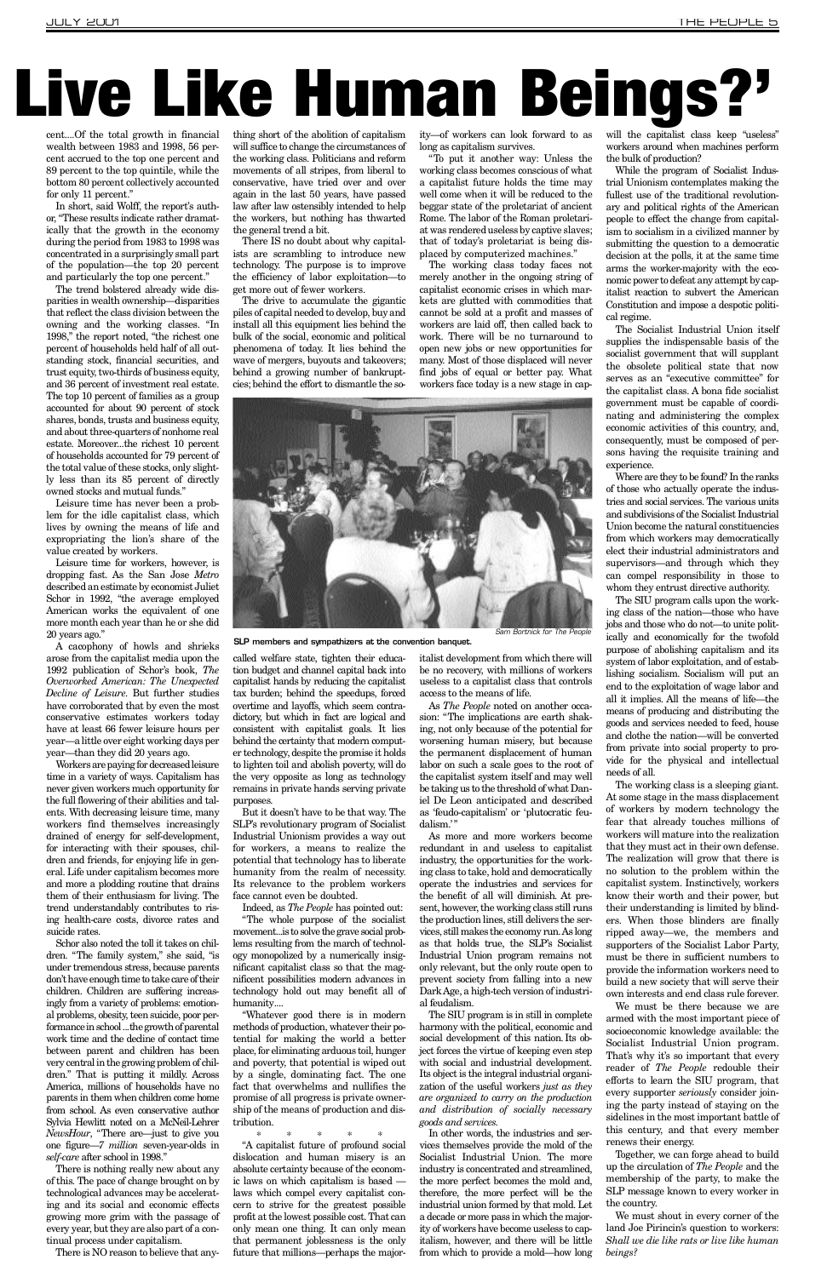# Live Like Human Beings?'

cent....Of the total growth in financial wealth between 1983 and 1998, 56 percent accrued to the top one percent and 89 percent to the top quintile, while the bottom 80 percent collectively accounted for only 11 percent."

In short, said Wolff, the report's author, "These results indicate rather dramatically that the growth in the economy during the period from 1983 to 1998 was concentrated in a surprisingly small part of the population—the top 20 percent and particularly the top one percent."

The trend bolstered already wide disparities in wealth ownership—disparities that reflect the class division between the owning and the working classes. "In 1998," the report noted, "the richest one percent of households held half of all outstanding stock, financial securities, and trust equity, two-thirds of business equity, and 36 percent of investment real estate. The top 10 percent of families as a group accounted for about 90 percent of stock shares, bonds, trusts and business equity, and about three-quarters of nonhome real estate. Moreover...the richest 10 percent of households accounted for 79 percent of the total value of these stocks, only slightly less than its 85 percent of directly owned stocks and mutual funds."

Leisure time has never been a problem for the idle capitalist class, which lives by owning the means of life and expropriating the lion's share of the value created by workers.

Leisure time for workers, however, is dropping fast. As the San Jose *Metro* described an estimate by economist Juliet Schor in 1992, "the average employed American works the equivalent of one more month each year than he or she did 20 years ago."

A cacophony of howls and shrieks arose from the capitalist media upon the 1992 publication of Schor's book, The *Overworked American: The Unexpected Decline of Leisure*. But further studies have corroborated that by even the most conservative estimates workers today have at least 66 fewer leisure hours per year—a little over eight working days per year—than they did 20 years ago.

There IS no doubt about why capitalists are scrambling to introduce new technology. The purpose is to improve the efficiency of labor exploitation—to get more out of fewer workers.

Workers are paying for decreased leisure time in a variety of ways. Capitalism has never given workers much opportunity for the full flowering of their abilities and talents. With decreasing leisure time, many workers find themselves increasingly drained of energy for self-development, for interacting with their spouses, children and friends, for enjoying life in general. Life under capitalism becomes more and more a plodding routine that drains them of their enthusiasm for living. The trend understandably contributes to rising health-care costs, divorce rates and suicide rates. Schor also noted the toll it takes on children. "The family system," she said, "is under tremendous stress, because parents don't have enough time to take care of their children. Children are suffering increasingly from a variety of problems: emotional problems, obesity, teen suicide, poor performance in school ...the growth of parental work time and the decline of contact time between parent and children has been very central in the growing problem of children." That is putting it mildly. Across America, millions of households have no parents in them when children come home from school. As even conservative author Sylvia Hewlitt noted on a McNeil-Lehrer *NewsHour*, "There are—just to give you one figure—7 million seven-year-olds in self-care after school in 1998." There is nothing really new about any of this. The pace of change brought on by technological advances may be accelerating and its social and economic effects growing more grim with the passage of every year, but they are also part of a continual process under capitalism.

"Whatever good there is in modern methods of production, whatever their potential for making the world a better place, for eliminating arduous toil, hunger and poverty, that potential is wiped out by a single, dominating fact. The one fact that overwhelms and nullifies the promise of all progress is private ownership of the means of production and distribution.

As *The People* noted on another occasion: "The implications are earth shaking, not only because of the potential for worsening human misery, but because the permanent displacement of human labor on such a scale goes to the root of the capitalist system itself and may well be taking us to the threshold of what Daniel De Leon anticipated and described as 'feudo-capitalism' or 'plutocratic feudalism.'"

thing short of the abolition of capitalism will suffice to change the circumstances of the working class. Politicians and reform movements of all stripes, from liberal to conservative, have tried over and over again in the last 50 years, have passed law after law ostensibly intended to help the workers, but nothing has thwarted the general trend a bit.

The drive to accumulate the gigantic piles of capital needed to develop, buy and install all this equipment lies behind the bulk of the social, economic and political phenomena of today. It lies behind the wave of mergers, buyouts and takeovers; behind a growing number of bankruptcies; behind the effort to dismantle the so-

called welfare state, tighten their education budget and channel capital back into capitalist hands by reducing the capitalist tax burden; behind the speedups, forced overtime and layoffs, which seem contradictory, but which in fact are logical and consistent with capitalist goals. It lies behind the certainty that modern computer technology, despite the promise it holds to lighten toil and abolish poverty, will do the very opposite as long as technology remains in private hands serving private purposes.

But it doesn't have to be that way. The SLP's revolutionary program of Socialist Industrial Unionism provides a way out for workers, a means to realize the potential that technology has to liberate humanity from the realm of necessity. Its relevance to the problem workers face cannot even be doubted.

Indeed, as *The People* has pointed out: "The whole purpose of the socialist movement...is to solve the grave social prob-

\* \* \* \* \*

" A capitalist future of profound social dislocation and human misery is an absolute certainty because of the economic laws on which capitalism is based laws which compel every capitalist concern to strive for the greatest possible profit at the lowest possible cost. That can only mean one thing. It can only mean that permanent joblessness is the only future that millions—perhaps the majority—of workers can look forward to as long as capitalism survives.

"To put it another way: Unless the working class becomes conscious of what a capitalist future holds the time may well come when it will be reduced to the beggar state of the proletariat of ancient Rome. The labor of the Roman proletariat was rendered useless by captive slaves; that of today's proletariat is being displaced by computerized machines."

The working class today faces not merely another in the ongoing string of capitalist economic crises in which markets are glutted with commodities that cannot be sold at a profit and masses of workers are laid off, then called back to work. There will be no turnaround to open new jobs or new opportunities for many. Most of those displaced will never find jobs of equal or better pay. What workers face today is a new stage in cap-



italist development from which there will be no recovery, with millions of workers useless to a capitalist class that controls access to the means of life.

As more and more workers become redundant in and useless to capitalist industry, the opportunities for the working class to take, hold and democratically operate the industries and services for the benefit of all will diminish. At present, however, the working class still runs the production lines, still delivers the services, still makes the economy run. As long as that holds true, the SLP's Socialist Industrial Union program remains not only relevant, but the only route open to prevent society from falling into a new Dark Age, a high-tech version of industrial feudalism. The SIU program is in still in complete harmony with the political, economic and social development of this nation. Its object forces the virtue of keeping even step with social and industrial development. Its object is the integral industrial organization of the useful workers *just as they are organized to carry on the production and distribution of socially necessary goods and services.* In other words, the industries and services themselves provide the mold of the Socialist Industrial Union. The more industry is concentrated and streamlined, the more perfect becomes the mold and, therefore, the more perfect will be the industrial union formed by that mold. Let a decade or more pass in which the majority of workers have become useless to capitalism, however, and there will be little from which to provide a mold—how long will the capitalist class keep "useless" workers around when machines perform the bulk of production?

While the program of Socialist Industrial Unionism contemplates making the fullest use of the traditional revolutionary and political rights of the American people to effect the change from capitalism to socialism in a civilized manner by submitting the question to a democratic decision at the polls, it at the same time arms the worker-majority with the economic power to defeat any attempt by capitalist reaction to subvert the American Constitution and impose a despotic political regime.

The Socialist Industrial Union itself supplies the indispensable basis of the socialist government that will supplant the obsolete political state that now serves as an "executive committee" for the capitalist class. A bona fide socialist government must be capable of coordinating and administering the complex economic activities of this country, and, consequently, must be composed of persons having the requisite training and experience.

Where are they to be found? In the ranks of those who actually operate the industries and social services. The various units and subdivisions of the Socialist Industrial Union become the natural constituencies from which workers may democratically elect their industrial administrators and supervisors—and through which they can compel responsibility in those to whom they entrust directive authority.

The SIU program calls upon the working class of the nation—those who have jobs and those who do not—to unite politically and economically for the twofold purpose of abolishing capitalism and its system of labor exploitation, and of establishing socialism. Socialism will put an end to the exploitation of wage labor and all it implies. All the means of life—the means of producing and distributing the goods and services needed to feed, house and clothe the nation—will be converted from private into social property to provide for the physical and intellectual needs of all.

The working class is a sleeping giant. At some stage in the mass displacement of workers by modern technology the fear that already touches millions of workers will mature into the realization that they must act in their own defense. The realization will grow that there is no solution to the problem within the capitalist system. Instinctively, workers know their worth and their power, but their understanding is limited by blinders. When those blinders are finally ripped away—we, the members and supporters of the Socialist Labor Party, must be there in sufficient numbers to provide the information workers need to build a new society that will serve their own interests and end class rule forever. We must be there because we are armed with the most important piece of socioeconomic knowledge available: the Socialist Industrial Union program. That's why it's so important that every reader of *The People* redouble their efforts to learn the SIU program, that every supporter *seriously* consider joining the party instead of staying on the sidelines in the most important battle of this century, and that every member renews their energy. Together, we can forge ahead to build up the circulation of *The People* and the membership of the party, to make the SLP message known to every worker in the country. We must shout in every corner of the land Joe Pirincin's question to workers: *Shall we die like rats or live like human b e i n g s ?*

There is NO reason to believe that any-

lems resulting from the march of technology monopolized by a numerically insignificant capitalist class so that the magnificent possibilities modern advances in technology hold out may benefit all of humanity....

SLP members and sympathizers at the convention banquet.

*Sam Bortnick for The People*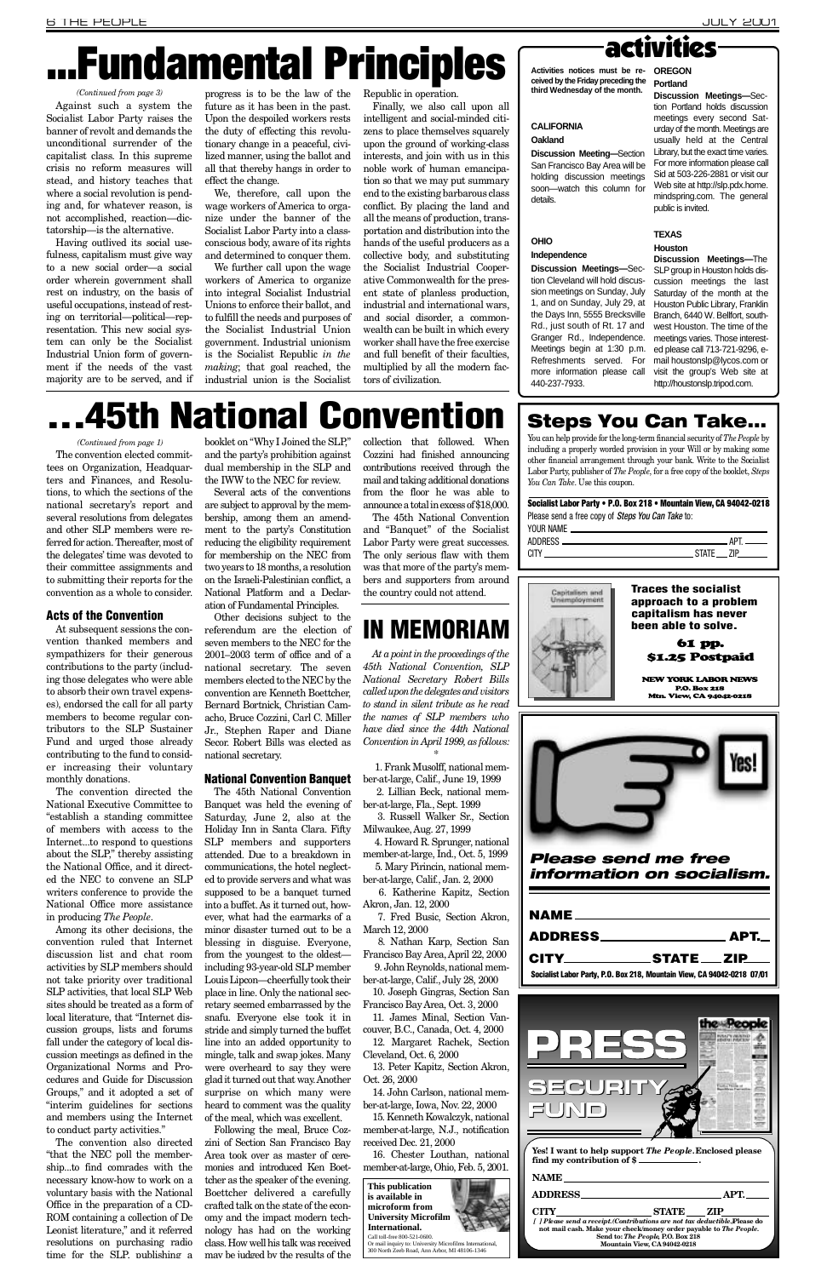|                                                                         | <u>. АРТ. —   </u> |
|-------------------------------------------------------------------------|--------------------|
|                                                                         | $CITY$ STATE ZIP   |
| Socialist Labor Party, P.O. Box 218, Mountain View, CA 94042-0218 07/01 |                    |
|                                                                         |                    |

*Please send me free information on socialism.*

## **NAME**

The convention elected committees on Organization, Headquarters and Finances, and Resolutions, to which the sections of the national secretary's report and several resolutions from delegates and other SLP members were referred for action. Thereafter, most of the delegates' time was devoted to their committee assignments and to submitting their reports for the convention as a whole to consider.

#### Acts of the Convention

At subsequent sessions the convention thanked members and sympathizers for their generous contributions to the party (including those delegates who were able to absorb their own travel expenses), endorsed the call for all party members to become regular contributors to the SLP Sustainer Fund and urged those already contributing to the fund to consider increasing their voluntary monthly donations.

The convention directed the National Executive Committee to "establish a standing committee of members with access to the Internet...to respond to questions about the SLP," thereby assisting the National Office, and it directed the NEC to convene an SLP writers conference to provide the National Office more assistance in producing *The People*.

booklet on "Why I Joined the SLP," and the party's prohibition against dual membership in the SLP and the IWW to the NEC for review.

Among its other decisions, the

convention ruled that Internet discussion list and chat room activities by SLP members should not take priority over traditional SLP activities, that local SLP Web sites should be treated as a form of local literature, that "Internet discussion groups, lists and forums fall under the category of local discussion meetings as defined in the Organizational Norms and Procedures and Guide for Discussion Groups," and it adopted a set of "interim guidelines for sections and members using the Internet to conduct party activities."

The convention also directed "that the NEC poll the membership...to find comrades with the necessary know-how to work on a voluntary basis with the National Office in the preparation of a CD-ROM containing a collection of De Leonist literature," and it referred resolutions on purchasing radio time for the SLP, publishing a

Several acts of the conventions are subject to approval by the membership, among them an amendment to the party's Constitution reducing the eligibility requirement for membership on the NEC from two years to 18 months, a resolution on the Israeli-Palestinian conflict, a National Platform and a Declaration of Fundamental Principles.

> ber-at-large, Fla., Sept. 1999 3. Russell Walker Sr., Section

> ber-at-large, Calif., Jan. 2, 2000 6. Katherine Kapitz, Section Akron, Jan. 12, 2000

Other decisions subject to the referendum are the election of seven members to the NEC for the 2001–2003 term of office and of a national secretary. The seven members elected to the NEC by the convention are Kenneth Boettcher, Bernard Bortnick, Christian Camacho, Bruce Cozzini, Carl C. Miller Jr., Stephen Raper and Diane Secor. Robert Bills was elected as national secretary.

> 7. Fred Busic, Section Akron, March 12, 2000 8. Nathan Karp, Section San Francisco Bay Area, April 22, 2000 9. John Reynolds, national member-at-large, Calif., July 28, 2000 10. Joseph Gingras, Section San Francisco Bay Area, Oct. 3, 2000 11. James Minal, Section Vancouver, B.C., Canada, Oct. 4, 2000 12. Margaret Rachek, Section Cleveland, Oct. 6, 2000 13. Peter Kapitz, Section Akron, Oct. 26, 2000 14. John Carlson, national member-at-large, Iowa, Nov. 22, 2000 15. Kenneth Kowalczyk, national member-at-large, N.J., notification received Dec. 21, 2000

16. Chester Louthan, national member-at-large, Ohio, Feb. 5, 2001.

#### National Convention Banquet

The 45th National Convention Banquet was held the evening of Saturday, June 2, also at the Holiday Inn in Santa Clara. Fifty SLP members and supporters attended. Due to a breakdown in communications, the hotel neglected to provide servers and what was supposed to be a banquet turned into a buffet. As it turned out, however, what had the earmarks of a minor disaster turned out to be a blessing in disguise. Everyone, from the youngest to the oldest including 93-year-old SLP member Louis Lipcon—cheerfully took their place in line. Only the national secretary seemed embarrassed by the snafu. Everyone else took it in stride and simply turned the buffet line into an added opportunity to mingle, talk and swap jokes. Many were overheard to say they were glad it turned out that way. Another surprise on which many were heard to comment was the quality of the meal, which was excellent. Following the meal, Bruce Cozzini of Section San Francisco Bay Area took over as master of ceremonies and introduced Ken Boettcher as the speaker of the evening. Boettcher delivered a carefully crafted talk on the state of the economy and the impact modern technology has had on the working class. How well his talk was received may be judged by the results of the

Finally, we also call upon all intelligent and social-minded citizens to place themselves squarely upon the ground of working-class interests, and join with us in this noble work of human emancipation so that we may put summary end to the existing barbarous class conflict. By placing the land and all the means of production, transportation and distribution into the hands of the useful producers as a collective body, and substituting the Socialist Industrial Cooperative Commonwealth for the present state of planless production, industrial and international wars, and social disorder, a commonwealth can be built in which every worker shall have the free exercise and full benefit of their faculties, multiplied by all the modern factors of civilization.

1, and on Sunday, July 29, at Houston Public Library, Franklin Meetings begin at 1:30 p.m. ed please call 713-721-9296, e-Refreshments served. For mail houstonslp@lycos.com or **Discussion Meetings—The** SLP group in Houston holds discussion meetings the last Saturday of the month at the Branch, 6440 W. Bellfort, southwest Houston. The time of the meetings varies. Those interestvisit the group's Web site at http://houstonslp.tripod.com.

# **45th National Convention**

collection that followed. When Cozzini had finished announcing contributions received through the mail and taking additional donations from the floor he was able to announce a total in excess of \$18,000.

The 45th National Convention and "Banquet" of the Socialist Labor Party were great successes. The only serious flaw with them was that more of the party's members and supporters from around the country could not attend.

**Discussion Meetings-Sec**tion Portland holds discussion meetings every second Saturday of the month. Meetings are usually held at the Central Library, but the exact time varies. For more information please call Sid at 503-226-2881 or visit our Web site at http://slp.pdx.home. mindspring.com. The general public is invited.

## IN MEMORIAM

*At a point in the proceedings of the 45th National Convention, SLP National Secretary Robert Bills called upon the delegates and visitors to stand in silent tribute as he read the names of SLP members who have died since the 44th National Convention in April 1999, as follows:* \*

Socialist Labor Party • P.O. Box 218 • Mountain View, CA 94042-0218 Please send a free copy of *Steps You Can Take* to: YOUR NAME.

1. Frank Musolff, national member-at-large, Calif., June 19, 1999 2. Lillian Beck, national mem-

Milwaukee, Aug. 27, 1999

4. Howard R. Sprunger, national member-at-large, Ind., Oct. 5, 1999 5. Mary Pirincin, national mem**NEW YORK LABOR NEWS** P.O. Box 218 Mtn. Vi e w, CA 94042-0218



#### *(Continued from page 1)*

# . . . Fundamental Principles

Against such a system the Socialist Labor Party raises the banner of revolt and demands the unconditional surrender of the capitalist class. In this supreme crisis no reform measures will stead, and history teaches that where a social revolution is pending and, for whatever reason, is not accomplished, reaction—dictatorship—is the alternative.

Having outlived its social usefulness, capitalism must give way to a new social order—a social order wherein government shall rest on industry, on the basis of useful occupations, instead of resting on territorial—political—representation. This new social system can only be the Socialist Industrial Union form of government if the needs of the vast majority are to be served, and if progress is to be the law of the future as it has been in the past. Upon the despoiled workers rests the duty of effecting this revolutionary change in a peaceful, civilized manner, using the ballot and all that thereby hangs in order to effect the change.

We, therefore, call upon the wage workers of America to organize under the banner of the Socialist Labor Party into a classconscious body, aware of its rights and determined to conquer them.

We further call upon the wage workers of America to organize into integral Socialist Industrial Unions to enforce their ballot, and to fulfill the needs and purposes of the Socialist Industrial Union government. Industrial unionism is the Socialist Republic *in the making*; that goal reached, the industrial union is the Socialist Republic in operation.

**Activities notices must be received by the Friday preceding the third Wednesday of the month.**

#### **CALIFORNIA Oakland**

**Discussion Meeting-Section** San Francisco Bay Area will be holding discussion meetings soon—watch this column for details.

#### OHIO **Independence**

**Discussion Meetings-Sec**tion Cleveland will hold discussion meetings on Sunday, July the Days Inn, 5555 Brecksville Rd., just south of Rt. 17 and Granger Rd., Independence. more information please call 440-237-7933.

activities **O R E G O N**

#### **Portland**

### **T E X A S**

### **Houston**

### Steps You Can Take...

You can help provide for the long-term financial security of *The People* by including a properly worded provision in your Will or by making some other financial arrangement through your bank. Write to the Socialist Labor Party, publisher of *The People*, for a free copy of the booklet, *Steps You Can Take*. Use this coupon.

| <b>ADDRESS</b> | ΛD               |
|----------------|------------------|
|                | /IP<br>5 I A I F |



| SECURITY<br> SUNI-)                                                                                                                                                                 |
|-------------------------------------------------------------------------------------------------------------------------------------------------------------------------------------|
| Yes! I want to help support The People. Enclosed please<br>find my contribution of \$                                                                                               |
| <b>NAME</b>                                                                                                                                                                         |
| <b>ADDRESS</b><br>APT.                                                                                                                                                              |
| <b>CITY</b><br><b>STATE ZIP</b>                                                                                                                                                     |
| [ ] Please send a receipt.(Contributions are not tax deductible.Please do<br>not mail cash. Make your check/money order payable to The People.<br>Send to: The People, P.O. Box 218 |
| Mountain View, CA 94042-0218                                                                                                                                                        |

#### *(Continued from page 3)*



Traces the socialist approach to a problem capitalism has never been able to solve.

### 61 pp. \$1.25 Postpaid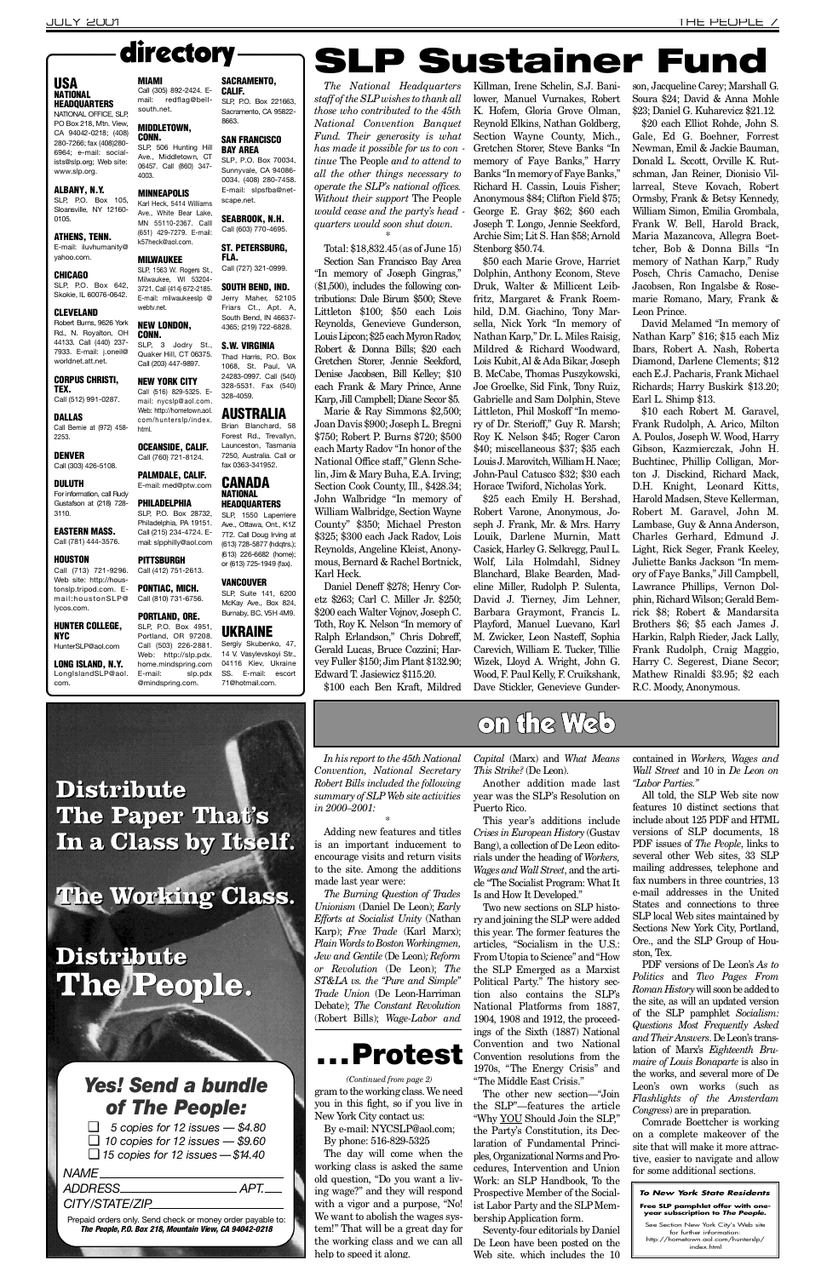*In his report to the 45th National Convention, National Secretary Robert Bills included the following*  $summary of SLP Web site activities$ *in 2000–2001:*

\* Adding new features and titles is an important inducement to encourage visits and return visits to the site. Among the additions made last year were:

*The Burning Question of Trades Unionism* (Daniel De Leon); *Early Efforts at Socialist Unity* (Nathan Karp); *Free Trade* (Karl Marx); *Plain Words to Boston Workingmen, Jew and Gentile* (De Leon)*; Reform or Revolution* (De Leon); The *S T & L A vs. the "Pure and Simple" Trade Union* (De Leon-Harriman Debate); *The Constant Revolution* (Robert Bills); *Wage-Labor and* *Capital* (Marx) and *What Means This Strike?* (De Leon).

Another addition made last year was the SLP's Resolution on Puerto Rico.

This year's additions include *Crises in European History* (Gustav Bang), a collection of De Leon editorials under the heading of *Workers*, *Wages and Wall Street*, and the article "The Socialist Program: What It Is and How It Developed."

Two new sections on SLP history and joining the SLP were added this year. The former features the articles, "Socialism in the U.S.: From Utopia to Science" and "How the SLP Emerged as a Marxist Political Party." The history section also contains the SLP's National Platforms from 1887, 1904, 1908 and 1912, the proceedings of the Sixth (1887) National Convention and two National Convention resolutions from the 1970s, "The Energy Crisis" and "The Middle East Crisis." The other new section—"Join the SLP"—features the article "Why YOU Should Join the SLP," the Party's Constitution, its Declaration of Fundamental Principles, Organizational Norms and Procedures, Intervention and Union Work: an SLP Handbook, To the Prospective Member of the Socialist Labor Party and the SLP Membership Application form. Seventy-four editorials by Daniel De Leon have been posted on the Web site, which includes the 10 contained in *Workers, Wages and Wall Street* and 10 in *De Leon on "Labor Parties."*

Daniel Deneff \$278; Henry Coretz \$263; Carl C. Miller Jr. \$250; \$200 each Walter Vojnov, Joseph C. Toth, Roy K. Nelson "In memory of Ralph Erlandson," Chris Dobreff, Gerald Lucas, Bruce Cozzini; Harvey Fuller \$150; Jim Plant \$132.90; Edward T. Jasiewicz \$115.20.

\$50 each Marie Grove, Harriet Dolphin, Anthony Econom, Steve Druk, Walter & Millicent Leibfritz, Margaret & Frank Roemhild, D.M. Giachino, Tony Marsella, Nick York "In memory of Nathan Karp," Dr. L. Miles Raisig, Mildred & Richard Woodward, Lois Kubit, Al & Ada Bikar, Joseph B. McCabe, Thomas Puszykowski, Joe Groelke, Sid Fink, Tony Ruiz, Gabrielle and Sam Dolphin, Steve Littleton, Phil Moskoff "In memory of Dr. Sterioff," Guy R. Marsh; Roy K. Nelson \$45; Roger Caron \$40; miscellaneous \$37; \$35 each Louis J. Marovitch, William H. Nace; John-Paul Catusco \$32; \$30 each Horace Twiford, Nicholas York.

> All told, the SLP Web site now features 10 distinct sections that include about 125 PDF and HTML versions of SLP documents, 18 PDF issues of *The People*, links to several other Web sites, 33 SLP mailing addresses, telephone and fax numbers in three countries, 13 e-mail addresses in the United States and connections to three SLP local Web sites maintained by Sections New York City, Portland, Ore., and the SLP Group of Houston, Tex. PDF versions of De Leon's *As to Politics* and *Two Pages From Roman History*will soon be added to the site, as will an updated version of the SLP pamphlet *Socialism*: *Questions Most Frequently Asked and Their Answers*. De Leon's translation of Marx's *Eighteenth Brumaire of Louis Bonaparte* is also in the works, and several more of De Leon's own works (such as *Flashlights of the Amsterdam Congress*) are in preparation. Comrade Boettcher is working on a complete makeover of the site that will make it more attractive, easier to navigate and allow for some additional sections.

*The National Headquarters staff of the SLP wishes to thank all those who contributed to the 45th National Convention Banquet Fund. Their generosity is what has made it possible for us to con tinue* The People *and to attend to all the other things necessary to operate the SLP's national offices. Without their support* The People *would cease and the party's head quarters would soon shut down.* \*

> \$10 each Robert M. Garavel, Frank Rudolph, A. Arico, Milton A. Poulos, Joseph W. Wood, Harry Gibson, Kazmierczak, John H. Buchtinec, Phillip Colligan, Morton J. Disckind, Richard Mack, D.H. Knight, Leonard Kitts, Harold Madsen, Steve Kellerman, Robert M. Garavel, John M. Lambase, Guy & Anna Anderson, Charles Gerhard, Edmund J. Light, Rick Seger, Frank Keeley, Juliette Banks Jackson "In memory of Faye Banks," Jill Campbell, Lawrance Phillips, Vernon Dolphin, Richard Wilson; Gerald Bemrick \$8; Robert & Mandarsita Brothers \$6; \$5 each James J. Harkin, Ralph Rieder, Jack Lally, Frank Rudolph, Craig Maggio, Harry C. Segerest, Diane Secor; Mathew Rinaldi \$3.95; \$2 each R.C. Moody, Anonymous.

Total: \$18,832.45 (as of June 15) Section San Francisco Bay Area "In memory of Joseph Gingras," (\$1,500), includes the following contributions: Dale Birum \$500; Steve Littleton \$100; \$50 each Lois Reynolds, Genevieve Gunderson, Louis Lipcon; \$25 each Myron Radov, Robert & Donna Bills; \$20 each Gretchen Storer, Jennie Seekford, Denise Jacobsen, Bill Kelley; \$10 each Frank & Mary Prince, Anne Karp, Jill Campbell; Diane Secor \$5.

#### USA **NATIONAL HEADQUARTERS**

NATIONAL OFFICE, SLP, PO Box 218, Mtn. View, CA 94042-0218; (408) 280-7266; fax (408)280- 6964; e-mail: socialists@slp.org; Web site: www.slp.org.

ATHENS, TENN. E-mail: iluvhumanity@ yahoo.com.

SLP, P.O. Box 642, Skokie, IL 60076-0642.

Robert Burns, 9626 York Rd., N. Royalton, OH 44133. Call (440) 237- 7933. E-mail: *i.oneil@* worldnet.att.net.

> Marie & Ray Simmons \$2,500; Joan Davis \$900; Joseph L. Bregni \$750; Robert P. Burns \$720; \$500 each Marty Radov "In honor of the National Office staff," Glenn Schelin, Jim & Mary Buha, E.A. Irving; Section Cook County, Ill., \$428.34; John Walbridge "In memory of William Walbridge, Section Wayne County" \$350; Michael Preston \$325; \$300 each Jack Radov, Lois Reynolds, Angeline Kleist, Anonymous, Bernard & Rachel Bortnick, Karl Heck.

TEX. Call (512) 991-0287.

DALLAS Call Bernie at (972) 458- 2253.

#### DULUTH For information, call Rudy Gustafson at (218) 728-  $3110.$

### Call (781) 444-3576. **HOUSTON**

LONG ISLAND, N.Y. Long Island SLP@aol

#### Call (305) 892-2424. E-SACRAMENTO, **CALIF.**

SLP, P.O. Box 221663 Sacramento, CA 95822 8663.

**MINNEAPOLIS** Karl Heck, 5414 Williams Ave., White Bear Lake, MN 55110-2367. Calll (651) 429-7279. E-mail:

**MIAM** 

south.net.

**MIDDLETOWN, CONN.** 

SLP, 3 Jodry St., Quaker Hill, CT 06375. Call (203) 447-9897.

\$100 each Ben Kraft, Mildred

com/hunterslp/index. html. OCEANSIDE, CALIF. Call (760) 721-8124.

**PHILADELPHIA** SLP, P.O. Box 28732, Philadelphia, PA 19151. Call (215) 234-4724. E-

### **PITTSBURGH** Call (412) 751-2613.

mail: slpphilly@aol.com

Killman, Irene Schelin, S.J. Banilower, Manuel Vurnakes, Robert K. Hofem, Gloria Grove Olman, Reynold Elkins, Nathan Goldberg, Section Wayne County, Mich., Gretchen Storer, Steve Banks "In memory of Faye Banks," Harry Banks "In memory of Faye Banks," Richard H. Cassin, Louis Fisher; Anonymous \$84; Clifton Field \$75; George E. Gray \$62; \$60 each Joseph T. Longo, Jennie Seekford, Archie Sim; Lit S. Han \$58; Arnold Stenborg \$50.74.

HunterSLP@aol.com Call (503) 226-2881. Web: http://slp.pdx. home.mindspring.com E-mail: slp.pdx @mindspring.com.

#### SAN FRANCISCO **BAY AREA**

FLA. Call (727) 321-0999.

#### SOUTH BEND, IND. Jerry Maher, 52105 Friars Ct., Apt. A, South Bend, IN 46637- 4365; (219) 722-6828.

S.W. VIRGINIA Thad Harris, P.O. Box 1068, St. Paul, VA 24283-0997. Call (540) 328-5531. Fax (540) 328-4059.

### **AUSTRALIA**

SLP, 1550 Laperriere Ave., Ottawa, Ont., K1Z 7T2. Call Doug Irving at (613) 728-5877 (hdqtrs.); (613) 226-6682 (home); or (613) 725-1949 (fax).

### **VANCOUVER**

SLP, Suite 141, 6200 McKay Ave., Box 824, Burnaby, BC, V5H 4M9.

#### PORTLAND, ORE. SLP, P.O. Box 4951, Portland, OR 97208.

**UKRAINE** Sergiy Skubenko, 47, 14 V. Vasylevskoyi Str., 04116 Kiev, Ukraine SS. E-mail: escort 71@hotmail.com.

# directory  $\longrightarrow$  SLP Sustainer Fund

*ADDRESS APT.*  $C$ *ITY/STATE/ZIP* 

Prepaid orders only. Send check or money order payable to: *The Pe o p l e , P. O. Box 218, Mountain View, CA 94042-0218*

## **Protest**

#### Free SLP pamphlet offer with one**year subscription to The People.**

See Section New York City's Web site for further information:<br>http://hometown.aol.com/hunterslp/<br>index.html

\$25 each Emily H. Bershad, Robert Varone, Anonymous, Joseph J. Frank, Mr. & Mrs. Harry Louik, Darlene Murnin, Matt Casick, Harley G. Selkregg, Paul L. Wolf, Lila Holmdahl, Sidney Blanchard, Blake Bearden, Madeline Miller, Rudolph P. Sulenta, David J. Tierney, Jim Lehner, Barbara Graymont, Francis L. Playford, Manuel Luevano, Karl M. Zwicker, Leon Nasteff, Sophia Carevich, William E. Tucker, Tillie Wizek, Lloyd A. Wright, John G. Wood, F. Paul Kelly, F. Cruikshank, Dave Stickler, Genevieve Gunderson, Jacqueline Carey; Marshall G. Soura \$24; David & Anna Mohle \$23; Daniel G. Kuharevicz \$21.12.

\$20 each Elliot Rohde, John S. Gale, Ed G. Boehner, Forrest Newman, Emil & Jackie Bauman, Donald L. Sccott, Orville K. Rutschman, Jan Reiner, Dionisio Villarreal, Steve Kovach, Robert Ormsby, Frank & Betsy Kennedy, William Simon, Emilia Grombala, Frank W. Bell, Harold Brack, Maria Mazancova, Allegra Boettcher, Bob & Donna Bills "In memory of Nathan Karp," Rudy Posch, Chris Camacho, Denise Jacobsen, Ron Ingalsbe & Rosemarie Romano, Mary, Frank & Leon Prince.

David Melamed "In memory of Nathan Karp" \$16; \$15 each Miz Ibars, Robert A. Nash, Roberta Diamond, Darlene Clements; \$12 each E.J. Pacharis, Frank Michael Richards; Harry Buskirk \$13.20; Earl L. Shimp \$13.

mail: redflag@bell-

SLP, 506 Hunting Hill

#### ALBANY, N.Y.

SLP, P.O. Box 105, Sloansville, NY 12160- 0105.

#### CHICAGO

#### CLEVELAND

### CORPUS CHRISTI,

DENVER Call (303) 426-5108.

EASTERN MASS.

Call (713) 721-9296. Web site: http://houstonslp.tripod.com. Email:houstonSLP@ lycos.com.

#### HUNTER COLLEGE, N Y C

com.

#### Ave., Middletown, CT 06457. Call (860) 347- 4003.

### k57heck@aol.com.

**MILWAUKEE** SLP, 1563 W. Rogers St., Milwaukee, WI 53204-3721. Call (414) 672-2185. E-mail: milwaukeeslp @ webty.net.

#### NEW LONDON, CONN.

#### NEW YORK CITY Call (516) 829-5325. Email: nycslp@aol.com. Web: http://hometown.aol.

### PALMDALE, CALIF. E-mail: med@ptw.com

PONTIAC, MICH. Call (810) 731-6756.

SLP, P.O. Box 70034, Sunnyvale, CA 94086- 0034. (408) 280-7458. E-mail: slpsfba@netscape.net.

SEABROOK, N.H. Call (603) 770-4695.

ST. PETERSBURG,

Brian Blanchard, 58 Forest Rd., Trevallyn, Launceston, Tasmania 7250, Australia. Call or fax 0363-341952.

#### **CANADA NATIONAL HEADQUARTERS**

By e-mail: NYCSLP@aol.com; By phone: 516-829-5325

gram to the working class. We need you in this fight, so if you live in New York City contact us: *(Continued from page 2)*

The day will come when the working class is asked the same old question, "Do you want a living wage?" and they will respond with a vigor and a purpose, "No! We want to abolish the wages system!" That will be a great day for the working class and we can all help to speed it along.

### *Yes! Send a bundle of The People:*

❑ *5 copies for 12 issues — \$4.80* ❑ *10 copies for 12 issues — \$9.60*

❑ *15 copies for 12 issues — \$14 . 4 0*

#### *NAME*.

**Distribute The Paper That's In a Class by Itself.**

## **The Working Class.**



## **Distribute The People.**

## on the Web

#### **To New York State Residents**